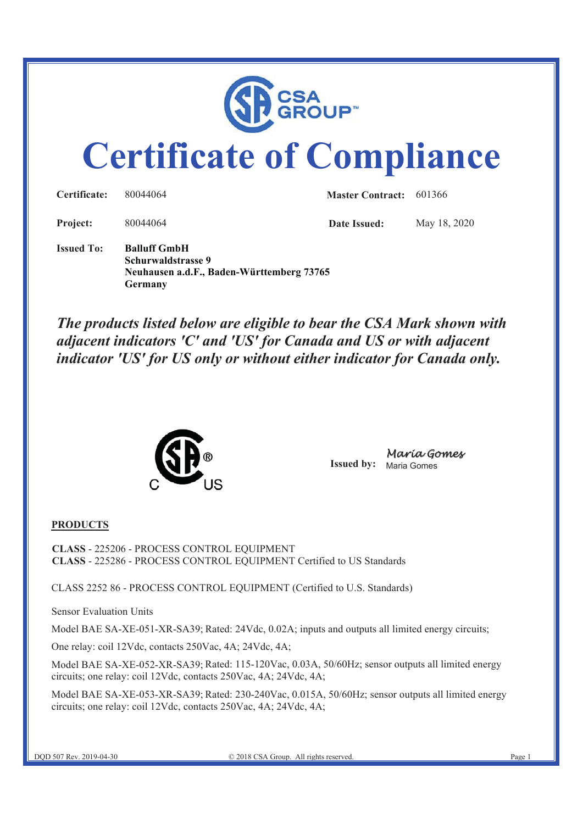

# **Certificate of Compliance**

| Certificate:      | 80044064                                                                                          | <b>Master Contract:</b> 601366 |              |
|-------------------|---------------------------------------------------------------------------------------------------|--------------------------------|--------------|
| Project:          | 80044064                                                                                          | Date Issued:                   | May 18, 2020 |
| <b>Issued To:</b> | <b>Balluff GmbH</b><br>Schurwaldstrasse 9<br>Neuhausen a.d.F., Baden-Württemberg 73765<br>Germany |                                |              |

*The products listed below are eligible to bear the CSA Mark shown with adjacent indicators 'C' and 'US' for Canada and US or with adjacent indicator 'US' for US only or without either indicator for Canada only.* 



**Issued by:** Maria Gomes Maria Gomes

#### **PRODUCTS**

**CLASS** - 225206 - PROCESS CONTROL EQUIPMENT **CLASS** - 225286 - PROCESS CONTROL EQUIPMENT Certified to US Standards

CLASS 2252 86 - PROCESS CONTROL EQUIPMENT (Certified to U.S. Standards)

Sensor Evaluation Units

Model BAE SA-XE-051-XR-SA39; Rated: 24Vdc, 0.02A; inputs and outputs all limited energy circuits;

One relay: coil 12Vdc, contacts 250Vac, 4A; 24Vdc, 4A;

Model BAE SA-XE-052-XR-SA39; Rated: 115-120Vac, 0.03A, 50/60Hz; sensor outputs all limited energy circuits; one relay: coil 12Vdc, contacts 250Vac, 4A; 24Vdc, 4A;

Model BAE SA-XE-053-XR-SA39; Rated: 230-240Vac, 0.015A, 50/60Hz; sensor outputs all limited energy circuits; one relay: coil 12Vdc, contacts 250Vac, 4A; 24Vdc, 4A;